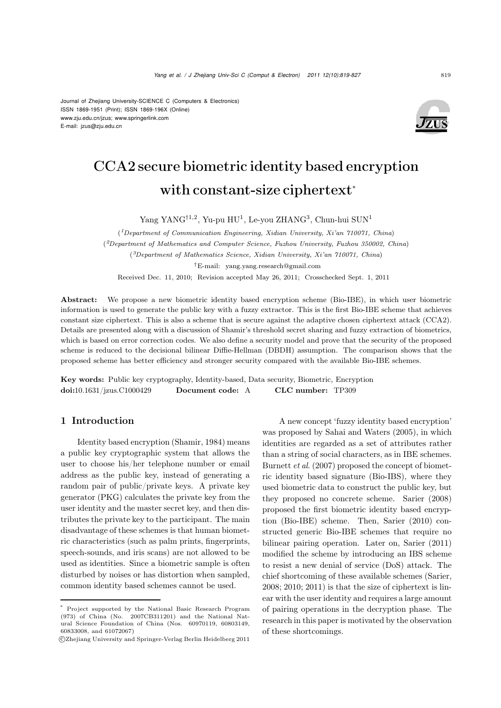E-mail: jzus@zju.edu.cn



# CCA2 secure biometric identity based encryption with constant-size ciphertext<sup>∗</sup>

Yang YANG<sup>†1,2</sup>, Yu-pu HU<sup>1</sup>, Le-you ZHANG<sup>3</sup>, Chun-hui SUN<sup>1</sup>

(*1Department of Communication Engineering, Xidian University, Xi'an 710071, China*) (*2Department of Mathematics and Computer Science, Fuzhou University, Fuzhou 350002, China*) (*3Department of Mathematics Science, Xidian University, Xi'an 710071, China*) *†*E-mail: yang.yang.research@gmail.com Received Dec. 11, 2010; Revision accepted May 26, 2011; Crosschecked Sept. 1, 2011

Abstract: We propose a new biometric identity based encryption scheme (Bio-IBE), in which user biometric information is used to generate the public key with a fuzzy extractor. This is the first Bio-IBE scheme that achieves constant size ciphertext. This is also a scheme that is secure against the adaptive chosen ciphertext attack (CCA2). Details are presented along with a discussion of Shamir's threshold secret sharing and fuzzy extraction of biometrics, which is based on error correction codes. We also define a security model and prove that the security of the proposed scheme is reduced to the decisional bilinear Diffie-Hellman (DBDH) assumption. The comparison shows that the proposed scheme has better efficiency and stronger security compared with the available Bio-IBE schemes.

Key words: Public key cryptography, Identity-based, Data security, Biometric, Encryption doi:10.1631/jzus.C1000429 Document code: A CLC number: TP309

# 1 Introduction

Identity based encryption (Shamir, 1984) means a public key cryptographic system that allows the user to choose his/her telephone number or email address as the public key, instead of generating a random pair of public/private keys. A private key generator (PKG) calculates the private key from the user identity and the master secret key, and then distributes the private key to the participant. The main disadvantage of these schemes is that human biometric characteristics (such as palm prints, fingerprints, speech-sounds, and iris scans) are not allowed to be used as identities. Since a biometric sample is often disturbed by noises or has distortion when sampled, common identity based schemes cannot be used.

A new concept 'fuzzy identity based encryption' was proposed by Sahai and Waters (2005), in which identities are regarded as a set of attributes rather than a string of social characters, as in IBE schemes. Burnett *et al*. (2007) proposed the concept of biometric identity based signature (Bio-IBS), where they used biometric data to construct the public key, but they proposed no concrete scheme. Sarier (2008) proposed the first biometric identity based encryption (Bio-IBE) scheme. Then, Sarier (2010) constructed generic Bio-IBE schemes that require no bilinear pairing operation. Later on, Sarier (2011) modified the scheme by introducing an IBS scheme to resist a new denial of service (DoS) attack. The chief shortcoming of these available schemes (Sarier, 2008; 2010; 2011) is that the size of ciphertext is linear with the user identity and requires a large amount of pairing operations in the decryption phase. The research in this paper is motivated by the observation of these shortcomings.

Project supported by the National Basic Research Program (973) of China (No. 2007CB311201) and the National Natural Science Foundation of China (Nos. 60970119, 60803149, 60833008, and 61072067)

c Zhejiang University and Springer-Verlag Berlin Heidelberg 2011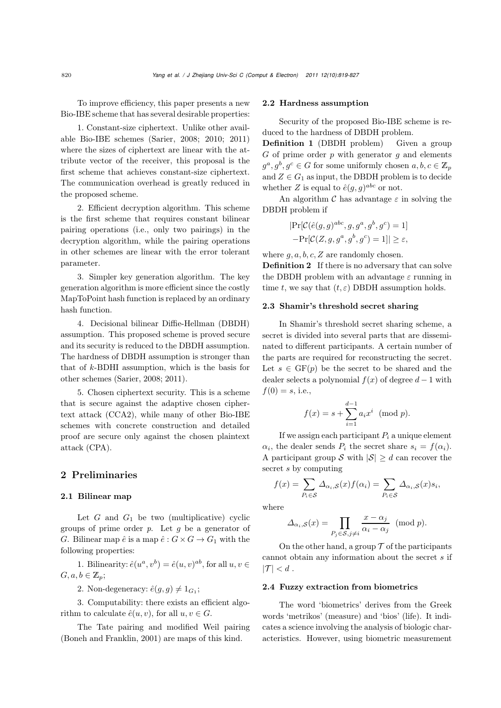To improve efficiency, this paper presents a new Bio-IBE scheme that has several desirable properties:

1. Constant-size ciphertext. Unlike other available Bio-IBE schemes (Sarier, 2008; 2010; 2011) where the sizes of ciphertext are linear with the attribute vector of the receiver, this proposal is the first scheme that achieves constant-size ciphertext. The communication overhead is greatly reduced in the proposed scheme.

2. Efficient decryption algorithm. This scheme is the first scheme that requires constant bilinear pairing operations (i.e., only two pairings) in the decryption algorithm, while the pairing operations in other schemes are linear with the error tolerant parameter.

3. Simpler key generation algorithm. The key generation algorithm is more efficient since the costly MapToPoint hash function is replaced by an ordinary hash function.

4. Decisional bilinear Diffie-Hellman (DBDH) assumption. This proposed scheme is proved secure and its security is reduced to the DBDH assumption. The hardness of DBDH assumption is stronger than that of k-BDHI assumption, which is the basis for other schemes (Sarier, 2008; 2011).

5. Chosen ciphertext security. This is a scheme that is secure against the adaptive chosen ciphertext attack (CCA2), while many of other Bio-IBE schemes with concrete construction and detailed proof are secure only against the chosen plaintext attack (CPA).

# 2 Preliminaries

#### 2.1 Bilinear map

Let  $G$  and  $G_1$  be two (multiplicative) cyclic groups of prime order *p*. Let g be a generator of G. Bilinear map  $\hat{e}$  is a map  $\hat{e}: G \times G \to G_1$  with the following properties:

1. Bilinearity:  $\hat{e}(u^a, v^b) = \hat{e}(u, v)^{ab}$ , for all  $u, v \in$  $G, a, b \in \mathbb{Z}_p$ ;

2. Non-degeneracy:  $\hat{e}(g, g) \neq 1_{G_1}$ ;

3. Computability: there exists an efficient algorithm to calculate  $\hat{e}(u, v)$ , for all  $u, v \in G$ .

The Tate pairing and modified Weil pairing (Boneh and Franklin, 2001) are maps of this kind.

#### 2.2 Hardness assumption

Security of the proposed Bio-IBE scheme is reduced to the hardness of DBDH problem.

Definition 1 (DBDH problem) Given a group  $G$  of prime order  $p$  with generator  $q$  and elements  $g^a, g^b, g^c \in G$  for some uniformly chosen  $a, b, c \in \mathbb{Z}_n$ and  $Z \in G_1$  as input, the DBDH problem is to decide whether Z is equal to  $\hat{e}(g, g)^{abc}$  or not.

An algorithm  $\mathcal C$  has advantage  $\varepsilon$  in solving the DBDH problem if

$$
|\Pr[\mathcal{C}(\hat{e}(g,g)^{abc}, g, g^a, g^b, g^c) = 1] - \Pr[\mathcal{C}(Z, g, g^a, g^b, g^c) = 1]| \ge \varepsilon,
$$

where  $q, a, b, c, Z$  are randomly chosen.

Definition 2 If there is no adversary that can solve the DBDH problem with an advantage  $\varepsilon$  running in time t, we say that  $(t, \varepsilon)$  DBDH assumption holds.

#### 2.3 Shamir's threshold secret sharing

In Shamir's threshold secret sharing scheme, a secret is divided into several parts that are disseminated to different participants. A certain number of the parts are required for reconstructing the secret. Let  $s \in \mathrm{GF}(p)$  be the secret to be shared and the dealer selects a polynomial  $f(x)$  of degree  $d-1$  with  $f(0) = s$ , i.e.,

$$
f(x) = s + \sum_{i=1}^{d-1} a_i x^i \pmod{p}.
$$

If we assign each participant  $P_i$  a unique element  $\alpha_i$ , the dealer sends  $P_i$  the secret share  $s_i = f(\alpha_i)$ . A participant group S with  $|\mathcal{S}| \geq d$  can recover the secret s by computing

$$
f(x) = \sum_{P_i \in S} \Delta_{\alpha_i, S}(x) f(\alpha_i) = \sum_{P_i \in S} \Delta_{\alpha_i, S}(x) s_i,
$$

where

$$
\Delta_{\alpha_i, \mathcal{S}}(x) = \prod_{P_j \in \mathcal{S}, j \neq i} \frac{x - \alpha_j}{\alpha_i - \alpha_j} \pmod{p}.
$$

On the other hand, a group  $\mathcal T$  of the participants cannot obtain any information about the secret s if  $|\mathcal{T}| < d$ .

#### 2.4 Fuzzy extraction from biometrics

The word 'biometrics' derives from the Greek words 'metrikos' (measure) and 'bios' (life). It indicates a science involving the analysis of biologic characteristics. However, using biometric measurement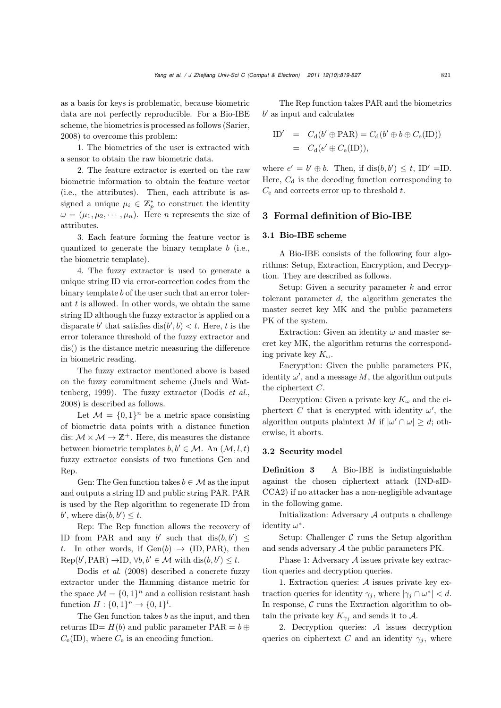as a basis for keys is problematic, because biometric data are not perfectly reproducible. For a Bio-IBE scheme, the biometrics is processed as follows (Sarier, 2008) to overcome this problem:

1. The biometrics of the user is extracted with a sensor to obtain the raw biometric data.

2. The feature extractor is exerted on the raw biometric information to obtain the feature vector (i.e., the attributes). Then, each attribute is assigned a unique  $\mu_i \in \mathbb{Z}_p^*$  to construct the identity  $\omega = (\mu_1, \mu_2, \cdots, \mu_n)$ . Here *n* represents the size of attributes.

3. Each feature forming the feature vector is quantized to generate the binary template  $b$  (i.e., the biometric template).

4. The fuzzy extractor is used to generate a unique string ID via error-correction codes from the binary template b of the user such that an error tolerant  $t$  is allowed. In other words, we obtain the same string ID although the fuzzy extractor is applied on a disparate b' that satisfies  $dis(b', b) < t$ . Here, t is the error tolerance threshold of the fuzzy extractor and dis() is the distance metric measuring the difference in biometric reading.

The fuzzy extractor mentioned above is based on the fuzzy commitment scheme (Juels and Wattenberg, 1999). The fuzzy extractor (Dodis *et al.*, 2008) is described as follows.

Let  $\mathcal{M} = \{0, 1\}^n$  be a metric space consisting of biometric data points with a distance function dis:  $M \times M \rightarrow \mathbb{Z}^+$ . Here, dis measures the distance between biometric templates  $b, b' \in \mathcal{M}$ . An  $(\mathcal{M}, l, t)$ fuzzy extractor consists of two functions Gen and Rep.

Gen: The Gen function takes  $b \in \mathcal{M}$  as the input and outputs a string ID and public string PAR. PAR is used by the Rep algorithm to regenerate ID from b', where  $dis(b, b') \leq t$ .

Rep: The Rep function allows the recovery of ID from PAR and any b' such that  $dis(b, b') \leq$ t. In other words, if  $Gen(b) \rightarrow (ID, PAR)$ , then  $Rep(b', PAR) \to ID, \forall b, b' \in M \text{ with } dis(b, b') \leq t.$ 

Dodis *et al*. (2008) described a concrete fuzzy extractor under the Hamming distance metric for the space  $\mathcal{M} = \{0, 1\}^n$  and a collision resistant hash function  $H: \{0, 1\}^n \to \{0, 1\}^l$ .

The Gen function takes  $b$  as the input, and then returns ID=  $H(b)$  and public parameter PAR =  $b \oplus$  $C_e(\text{ID})$ , where  $C_e$  is an encoding function.

The Rep function takes PAR and the biometrics  $b'$  as input and calculates

$$
\text{ID}' = C_{\text{d}}(b' \oplus \text{PAR}) = C_{\text{d}}(b' \oplus b \oplus C_{\text{e}}(\text{ID}))
$$
  
=  $C_{\text{d}}(e' \oplus C_{\text{e}}(\text{ID})),$ 

where  $e' = b' \oplus b$ . Then, if  $dis(b, b') \le t$ , ID' =ID. Here,  $C_d$  is the decoding function corresponding to  $C_e$  and corrects error up to threshold t.

## 3 Formal definition of Bio-IBE

#### 3.1 Bio-IBE scheme

A Bio-IBE consists of the following four algorithms: Setup, Extraction, Encryption, and Decryption. They are described as follows.

Setup: Given a security parameter  $k$  and error tolerant parameter d, the algorithm generates the master secret key MK and the public parameters PK of the system.

Extraction: Given an identity  $\omega$  and master secret key MK, the algorithm returns the corresponding private key  $K_{\omega}$ .

Encryption: Given the public parameters PK, identity  $\omega'$ , and a message M, the algorithm outputs the ciphertext C.

Decryption: Given a private key  $K_{\omega}$  and the ciphertext C that is encrypted with identity  $\omega'$ , the algorithm outputs plaintext M if  $|\omega' \cap \omega| \geq d$ ; otherwise, it aborts.

### 3.2 Security model

Definition 3 A Bio-IBE is indistinguishable against the chosen ciphertext attack (IND-sID-CCA2) if no attacker has a non-negligible advantage in the following game.

Initialization: Adversary  $A$  outputs a challenge identity  $\omega^*$ .

Setup: Challenger  $C$  runs the Setup algorithm and sends adversary A the public parameters PK.

Phase 1: Adversary A issues private key extraction queries and decryption queries.

1. Extraction queries:  $A$  issues private key extraction queries for identity  $\gamma_i$ , where  $|\gamma_i \cap \omega^*| < d$ . In response,  $C$  runs the Extraction algorithm to obtain the private key  $K_{\gamma_i}$  and sends it to A.

2. Decryption queries: A issues decryption queries on ciphertext C and an identity  $\gamma_i$ , where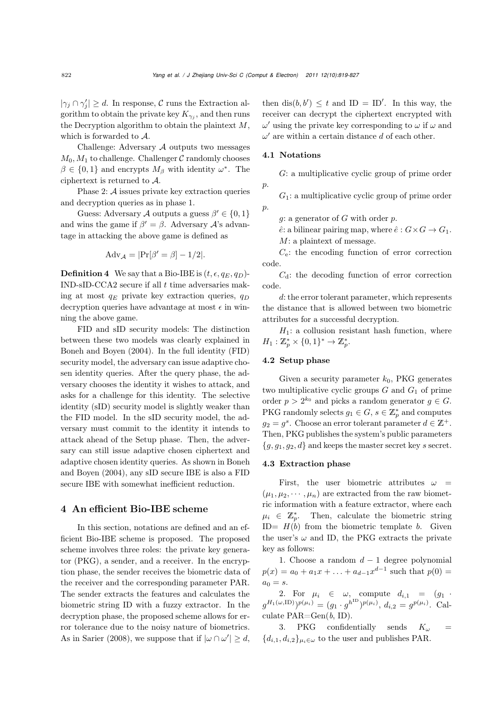$|\gamma_j \cap \gamma'_j| \geq d$ . In response, C runs the Extraction algorithm to obtain the private key  $K_{\gamma_i}$ , and then runs the Decryption algorithm to obtain the plaintext  $M$ , which is forwarded to A.

Challenge: Adversary A outputs two messages  $M_0, M_1$  to challenge. Challenger C randomly chooses  $\beta \in \{0,1\}$  and encrypts  $M_{\beta}$  with identity  $\omega^*$ . The ciphertext is returned to A.

Phase 2: A issues private key extraction queries and decryption queries as in phase 1.

Guess: Adversary A outputs a guess  $\beta' \in \{0, 1\}$ and wins the game if  $\beta' = \beta$ . Adversary  $\mathcal{A}$ 's advantage in attacking the above game is defined as

$$
\mathrm{Adv}_{\mathcal{A}} = |\mathrm{Pr}[\beta' = \beta] - 1/2|.
$$

**Definition 4** We say that a Bio-IBE is  $(t, \epsilon, q_E, q_D)$ -IND-sID-CCA2 secure if all  $t$  time adversaries making at most  $q_E$  private key extraction queries,  $q_D$ decryption queries have advantage at most  $\epsilon$  in winning the above game.

FID and sID security models: The distinction between these two models was clearly explained in Boneh and Boyen (2004). In the full identity (FID) security model, the adversary can issue adaptive chosen identity queries. After the query phase, the adversary chooses the identity it wishes to attack, and asks for a challenge for this identity. The selective identity (sID) security model is slightly weaker than the FID model. In the sID security model, the adversary must commit to the identity it intends to attack ahead of the Setup phase. Then, the adversary can still issue adaptive chosen ciphertext and adaptive chosen identity queries. As shown in Boneh and Boyen (2004), any sID secure IBE is also a FID secure IBE with somewhat inefficient reduction.

#### 4 An efficient Bio-IBE scheme

In this section, notations are defined and an efficient Bio-IBE scheme is proposed. The proposed scheme involves three roles: the private key generator (PKG), a sender, and a receiver. In the encryption phase, the sender receives the biometric data of the receiver and the corresponding parameter PAR. The sender extracts the features and calculates the biometric string ID with a fuzzy extractor. In the decryption phase, the proposed scheme allows for error tolerance due to the noisy nature of biometrics. As in Sarier (2008), we suppose that if  $|\omega \cap \omega'| \geq d$ ,

then  $dis(b, b') \leq t$  and  $ID = ID'$ . In this way, the receiver can decrypt the ciphertext encrypted with  $\omega'$  using the private key corresponding to  $\omega$  if  $\omega$  and  $\omega'$  are within a certain distance d of each other.

#### 4.1 Notations

G: a multiplicative cyclic group of prime order p.

 $G_1$ : a multiplicative cyclic group of prime order  $p$ .

g: a generator of G with order  $p$ .

 $\hat{e}$ : a bilinear pairing map, where  $\hat{e}: G \times G \to G_1$ . M: a plaintext of message.

 $C_e$ : the encoding function of error correction code.

 $C_d$ : the decoding function of error correction code.

d: the error tolerant parameter, which represents the distance that is allowed between two biometric attributes for a successful decryption.

 $H_1$ : a collusion resistant hash function, where  $H_1: \mathbb{Z}_p^* \times \{0,1\}^* \to \mathbb{Z}_p^*.$ 

#### 4.2 Setup phase

Given a security parameter  $k_0$ , PKG generates two multiplicative cyclic groups  $G$  and  $G_1$  of prime order  $p > 2^{k_0}$  and picks a random generator  $g \in G$ . PKG randomly selects  $g_1 \in G$ ,  $s \in \mathbb{Z}_p^*$  and computes  $g_2 = g^s$ . Choose an error tolerant parameter  $d \in \mathbb{Z}^+$ . Then, PKG publishes the system's public parameters  ${g, g_1, g_2, d}$  and keeps the master secret key s secret.

#### 4.3 Extraction phase

First, the user biometric attributes  $\omega$  =  $(\mu_1, \mu_2, \cdots, \mu_n)$  are extracted from the raw biometric information with a feature extractor, where each  $\mu_i \in \mathbb{Z}_p^*$ . Then, calculate the biometric string ID=  $H(b)$  from the biometric template b. Given the user's  $\omega$  and ID, the PKG extracts the private key as follows:

1. Choose a random  $d-1$  degree polynomial  $p(x) = a_0 + a_1x + \ldots + a_{d-1}x^{d-1}$  such that  $p(0) =$  $a_0 = s$ .

2. For  $\mu_i \in \omega$ , compute  $d_{i,1} = (g_1 \cdot$  $(g^{H_1(\omega,\mathrm{ID})})^{p(\mu_i)} = (g_1 \cdot g^{h^{ID}})^{p(\mu_i)}, d_{i,2} = g^{p(\mu_i)}$ . Calculate PAR=Gen(*b*, ID).

3. PKG confidentially sends  $K_{\omega}$  ${d_{i,1}, d_{i,2}}_{\mu_i \in \omega}$  to the user and publishes PAR.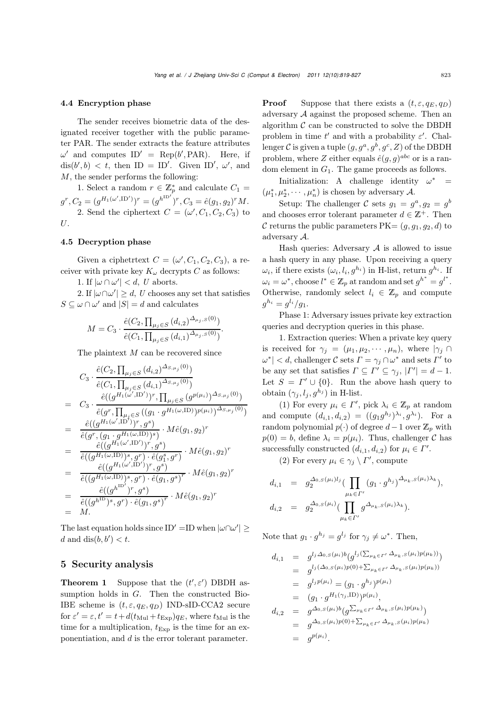#### 4.4 Encryption phase

The sender receives biometric data of the designated receiver together with the public parameter PAR. The sender extracts the feature attributes  $\omega'$  and computes  $ID' = \text{Rep}(b', \text{PAR})$ . Here, if  $dis(b', b) < t$ , then ID = ID'. Given ID',  $\omega'$ , and M, the sender performs the following:

1. Select a random  $r \in \mathbb{Z}_p^*$  and calculate  $C_1 =$  $g^r, C_2 = (g^{H_1(\omega',\mathrm{ID'})})^r = (g^{h^{\mathrm{ID'}}})^r, C_3 = \hat{e}(g_1, g_2)^r M.$ 2. Send the ciphertext  $C = (\omega', C_1, C_2, C_3)$  to U.

#### 4.5 Decryption phase

Given a ciphetrtext  $C = (\omega', C_1, C_2, C_3)$ , a receiver with private key  $K_{\omega}$  decrypts C as follows:

1. If  $|\omega \cap \omega'| < d$ , *U* aborts.

2. If  $|\omega \cap \omega'| \ge d$ , *U* chooses any set that satisfies  $S \subseteq \omega \cap \omega'$  and  $|S| = d$  and calculates

$$
M = C_3 \cdot \frac{\hat{e}(C_2, \prod_{\mu_j \in S} (d_{i,2})^{\Delta_{\mu_j}, S(0)})}{\hat{e}(C_1, \prod_{\mu_j \in S} (d_{i,1})^{\Delta_{\mu_j}, S(0)})}
$$

.

The plaintext M can be recovered since

$$
C_{3} \cdot \frac{\hat{e}(C_{2}, \prod_{\mu_{j} \in S} (d_{i,2})^{\Delta_{S,\mu_{j}}(0)})}{\hat{e}(C_{1}, \prod_{\mu_{j} \in S} (d_{i,1})^{\Delta_{S,\mu_{j}}(0)})}
$$
\n
$$
= C_{3} \cdot \frac{\hat{e}((g^{H_{1}(\omega', \text{ID}^{\prime}}))^r, \prod_{\mu_{j} \in S} (g^{p(\mu_{i})})^{\Delta_{S,\mu_{j}}(0)})}{\hat{e}(g^{r}, \prod_{\mu_{j} \in S} ((g_{1} \cdot g^{H_{1}(\omega, \text{ID}}))^{p(\mu_{i})})^{\Delta_{S,\mu_{j}}(0)})}
$$
\n
$$
= \frac{\hat{e}((g^{H_{1}(\omega', \text{ID}^{\prime}}))^r, g^{s})}{\hat{e}(g^{r}, (g_{1} \cdot g^{H_{1}(\omega, \text{ID}}))^{s})}, M\hat{e}(g_{1}, g_{2})^{r}
$$
\n
$$
= \frac{\hat{e}((g^{H_{1}(\omega', \text{ID}^{\prime}}))^r, g^{s})}{\hat{e}((g^{H_{1}(\omega, \text{ID}}))^s, g^{r}) \cdot \hat{e}(g_{1}^{s}, g^{r})} \cdot M\hat{e}(g_{1}, g_{2})^{r}
$$
\n
$$
= \frac{\hat{e}((g^{H_{1}(\omega', \text{ID}^{\prime}})^r, g^{s})}{\hat{e}((g^{H_{1}(\omega, \text{ID}}))^s, g^{r}) \cdot \hat{e}(g_{1}, g^{s})^{r}} \cdot M\hat{e}(g_{1}, g_{2})^{r}
$$
\n
$$
= \frac{\hat{e}((g^{h^{ID'}})^r, g^{s})}{\hat{e}((g^{h^{ID'}})^s, g^{r}) \cdot \hat{e}(g_{1}, g^{s})^{r}} \cdot M\hat{e}(g_{1}, g_{2})^{r}
$$
\n
$$
= M.
$$

The last equation holds since ID' =ID when  $|\omega \cap \omega'| \ge$ d and  $dis(b, b') < t$ .

## 5 Security analysis

**Theorem 1** Suppose that the  $(t', \varepsilon')$  DBDH assumption holds in G. Then the constructed Bio-IBE scheme is  $(t, \varepsilon, q_E, q_D)$  IND-sID-CCA2 secure for  $\varepsilon' = \varepsilon$ ,  $t' = t + d(t_{\text{Mul}} + t_{\text{Exp}})q_E$ , where  $t_{\text{Mul}}$  is the time for a multiplication,  $t_{\text{Exp}}$  is the time for an exponentiation, and d is the error tolerant parameter.

**Proof** Suppose that there exists a  $(t, \varepsilon, q_E, q_D)$ adversary  $A$  against the proposed scheme. Then an algorithm  $\mathcal C$  can be constructed to solve the DBDH problem in time  $t'$  and with a probability  $\varepsilon'$ . Challenger C is given a tuple  $(g, g^a, g^b, g^c, Z)$  of the DBDH problem, where Z either equals  $\hat{e}(g, g)^{abc}$  or is a random element in  $G_1$ . The game proceeds as follows.

Initialization: A challenge identity  $\omega^*$  $(\mu_1^*, \mu_2^*, \cdots, \mu_n^*)$  is chosen by adversary A.

Setup: The challenger C sets  $g_1 = g^a, g_2 = g^b$ and chooses error tolerant parameter  $d \in \mathbb{Z}^+$ . Then C returns the public parameters  $PK = (q, q_1, q_2, d)$  to adversary A.

Hash queries: Adversary  $A$  is allowed to issue a hash query in any phase. Upon receiving a query  $\omega_i$ , if there exists  $(\omega_i, l_i, g^{h_i})$  in H-list, return  $g^{h_i}$ . If  $\omega_i = \omega^*$ , choose  $l^* \in \mathbb{Z}_p$  at random and set  $g^{h^*} = g^{l^*}$ . Otherwise, randomly select  $l_i \in \mathbb{Z}_p$  and compute  $g^{h_i} = g^{l_i}/g_1.$ 

Phase 1: Adversary issues private key extraction queries and decryption queries in this phase.

1. Extraction queries: When a private key query is received for  $\gamma_j = (\mu_1, \mu_2, \cdots, \mu_n)$ , where  $|\gamma_j|$  $|\omega^*| < d$ , challenger C sets  $\Gamma = \gamma_j \cap \omega^*$  and sets  $\Gamma'$  to be any set that satisfies  $\Gamma \subseteq \Gamma' \subseteq \gamma_j, |\Gamma'| = d - 1$ . Let  $S = \Gamma' \cup \{0\}$ . Run the above hash query to obtain  $(\gamma_j, l_j, g^{h_j})$  in H-list.

(1) For every  $\mu_i \in \Gamma'$ , pick  $\lambda_i \in \mathbb{Z}_p$  at random and compute  $(d_{i,1}, d_{i,2}) = ((g_1g^{h_j})^{\lambda_i}, g^{\lambda_i})$ . For a random polynomial  $p(\cdot)$  of degree  $d-1$  over  $\mathbb{Z}_p$  with  $p(0) = b$ , define  $\lambda_i = p(\mu_i)$ . Thus, challenger C has successfully constructed  $(d_{i,1}, d_{i,2})$  for  $\mu_i \in \Gamma'$ .

(2) For every  $\mu_i \in \gamma_j \setminus \Gamma'$ , compute

$$
d_{i,1} = g_2^{\Delta_{0,S}(\mu_i)l_j} (\prod_{\mu_k \in \Gamma'} (g_1 \cdot g^{h_j})^{\Delta_{\mu_k,S}(\mu_i)\lambda_k}),
$$
  

$$
d_{i,2} = g_2^{\Delta_{0,S}(\mu_i)} (\prod_{\mu_k \in \Gamma'} g^{\Delta_{\mu_k,S}(\mu_i)\lambda_k}).
$$

Note that  $g_1 \cdot g^{h_j} = g^{l_j}$  for  $\gamma_j \neq \omega^*$ . Then,

$$
d_{i,1} = g^{l_j \Delta_{0,S}(\mu_i)b} (g^{l_j(\sum_{\mu_k \in \Gamma'} \Delta_{\mu_k,S}(\mu_i)p(\mu_k))})
$$
  
\n
$$
= g^{l_j(\Delta_{0,S}(\mu_i)p(0) + \sum_{\mu_k \in \Gamma'} \Delta_{\mu_k,S}(\mu_i)p(\mu_k))}
$$
  
\n
$$
= g^{l_jp(\mu_i)} = (g_1 \cdot g^{h_j})^{p(\mu_i)}
$$
  
\n
$$
= (g_1 \cdot g^{H_1(\gamma_j,\text{ID})})^{p(\mu_i)},
$$
  
\n
$$
d_{i,2} = g^{\Delta_{0,S}(\mu_i)b} (g^{\sum_{\mu_k \in \Gamma'} \Delta_{\mu_k,S}(\mu_i)p(\mu_k)})
$$
  
\n
$$
= g^{\Delta_{0,S}(\mu_i)p(0) + \sum_{\mu_k \in \Gamma'} \Delta_{\mu_k,S}(\mu_i)p(\mu_k)}
$$
  
\n
$$
= g^{p(\mu_i)}.
$$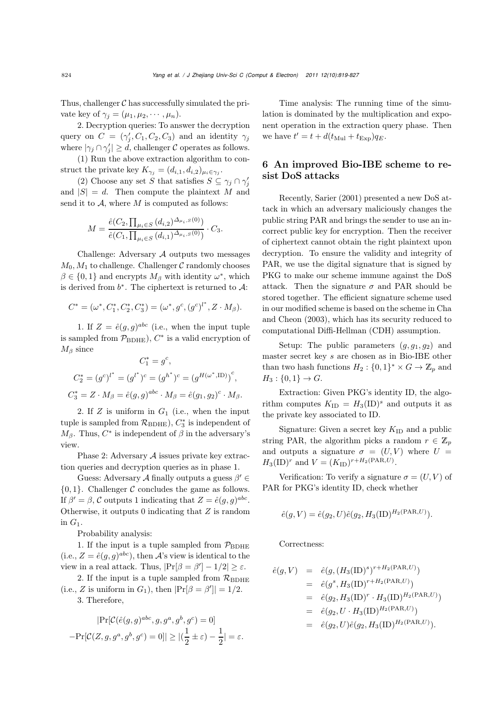Thus, challenger  $\mathcal C$  has successfully simulated the private key of  $\gamma_j = (\mu_1, \mu_2, \cdots, \mu_n)$ .

2. Decryption queries: To answer the decryption query on  $C = (\gamma'_i, C_1, C_2, C_3)$  and an identity  $\gamma_j$ where  $|\gamma_j \cap \gamma'_j| \geq d$ , challenger C operates as follows.

(1) Run the above extraction algorithm to construct the private key  $K_{\gamma_i} = (d_{i,1}, d_{i,2})_{\mu_i \in \gamma_i}$ .

(2) Choose any set S that satisfies  $S \subseteq \gamma_j \cap \gamma'_j$ and  $|S| = d$ . Then compute the plaintext M and send it to  $A$ , where  $M$  is computed as follows:

$$
M = \frac{\hat{e}(C_2, \prod_{\mu_i \in S} (d_{i,2})^{\Delta_{\mu_i, S}(0)})}{\hat{e}(C_1, \prod_{\mu_i \in S} (d_{i,1})^{\Delta_{\mu_i, S}(0)})} \cdot C_3.
$$

Challenge: Adversary A outputs two messages  $M_0, M_1$  to challenge. Challenger C randomly chooses  $\beta \in \{0,1\}$  and encrypts  $M_{\beta}$  with identity  $\omega^*$ , which is derived from  $b^*$ . The ciphertext is returned to  $\mathcal{A}$ :

$$
C^* = (\omega^*, C_1^*, C_2^*, C_3^*) = (\omega^*, g^c, (g^c)^{l^*}, Z \cdot M_\beta).
$$

1. If  $Z = \hat{e}(q, q)^{abc}$  (i.e., when the input tuple is sampled from  $\mathcal{P}_{BDHE}$ ),  $C^*$  is a valid encryption of  $M_{\beta}$  since

$$
C_1^* = g^c,
$$
  
\n
$$
C_2^* = (g^c)^{l^*} = (g^{l^*})^c = (g^{h^*})^c = (g^{H(\omega^*, \text{ID})})^c,
$$
  
\n
$$
C_3^* = Z \cdot M_\beta = \hat{e}(g, g)^{abc} \cdot M_\beta = \hat{e}(g_1, g_2)^c \cdot M_\beta.
$$

2. If  $Z$  is uniform in  $G_1$  (i.e., when the input tuple is sampled from  $\mathcal{R}_{\rm BDHE}$ ,  $C_3^*$  is independent of  $M_{\beta}$ . Thus,  $C^*$  is independent of  $\beta$  in the adversary's view.

Phase 2: Adversary A issues private key extraction queries and decryption queries as in phase 1.

Guess: Adversary A finally outputs a guess  $\beta' \in$  ${0, 1}$ . Challenger C concludes the game as follows. If  $\beta' = \beta$ , C outputs 1 indicating that  $Z = \hat{e}(q, q)^{abc}$ . Otherwise, it outputs  $0$  indicating that  $Z$  is random in  $G_1$ .

Probability analysis:

1. If the input is a tuple sampled from  $\mathcal{P}_{BDEE}$ (i.e.,  $Z = \hat{e}(g, g)^{abc}$ ), then A's view is identical to the view in a real attack. Thus,  $|\Pr[\beta = \beta'] - 1/2| \ge \varepsilon$ .

2. If the input is a tuple sampled from  $\mathcal{R}_{BDEE}$ (i.e., Z is uniform in  $G_1$ ), then  $|\Pr[\beta = \beta']| = 1/2$ . 3. Therefore,

$$
\begin{aligned} |\mathrm{Pr}[\mathcal{C}(\hat{e}(g,g)^{abc},g,g^a,g^b,g^c)=0] \\ -\mathrm{Pr}[\mathcal{C}(Z,g,g^a,g^b,g^c)=0]|\ge |(\frac{1}{2}\pm \varepsilon)-\frac{1}{2}|=\varepsilon. \end{aligned}
$$

Time analysis: The running time of the simulation is dominated by the multiplication and exponent operation in the extraction query phase. Then we have  $t' = t + d(t_{\text{Mul}} + t_{\text{Exp}})q_E$ .

# 6 An improved Bio-IBE scheme to resist DoS attacks

Recently, Sarier (2001) presented a new DoS attack in which an adversary maliciously changes the public string PAR and brings the sender to use an incorrect public key for encryption. Then the receiver of ciphertext cannot obtain the right plaintext upon decryption. To ensure the validity and integrity of PAR, we use the digital signature that is signed by PKG to make our scheme immune against the DoS attack. Then the signature  $\sigma$  and PAR should be stored together. The efficient signature scheme used in our modified scheme is based on the scheme in Cha and Cheon (2003), which has its security reduced to computational Diffi-Hellman (CDH) assumption.

Setup: The public parameters  $(g, g_1, g_2)$  and master secret key s are chosen as in Bio-IBE other than two hash functions  $H_2: \{0,1\}^* \times G \to \mathbb{Z}_p$  and  $H_3: \{0,1\} \to G.$ 

Extraction: Given PKG's identity ID, the algorithm computes  $K_{\text{ID}} = H_3(\text{ID})^s$  and outputs it as the private key associated to ID.

Signature: Given a secret key  $K_{\text{ID}}$  and a public string PAR, the algorithm picks a random  $r \in \mathbb{Z}_p$ and outputs a signature  $\sigma = (U, V)$  where  $U =$  $H_3({\rm ID})^r$  and  $V = (K_{\rm ID})^{r+H_2({\rm PAR},U)}$ .

Verification: To verify a signature  $\sigma = (U, V)$  of PAR for PKG's identity ID, check whether

$$
\hat{e}(g, V) = \hat{e}(g_2, U)\hat{e}(g_2, H_3(\text{ID})^{H_2(\text{PAR}, U)}).
$$

Correctness:

$$
\begin{array}{rcl}\n\hat{e}(g,V) & = & \hat{e}(g,(H_3(\text{ID})^s)^{r+H_2(\text{PAR},U)}) \\
& = & \hat{e}(g^s,H_3(\text{ID})^{r+H_2(\text{PAR},U)}) \\
& = & \hat{e}(g_2,H_3(\text{ID})^r \cdot H_3(\text{ID})^{H_2(\text{PAR},U)}) \\
& = & \hat{e}(g_2,U \cdot H_3(\text{ID})^{H_2(\text{PAR},U)}) \\
& = & \hat{e}(g_2,U)\hat{e}(g_2,H_3(\text{ID})^{H_2(\text{PAR},U)}).\n\end{array}
$$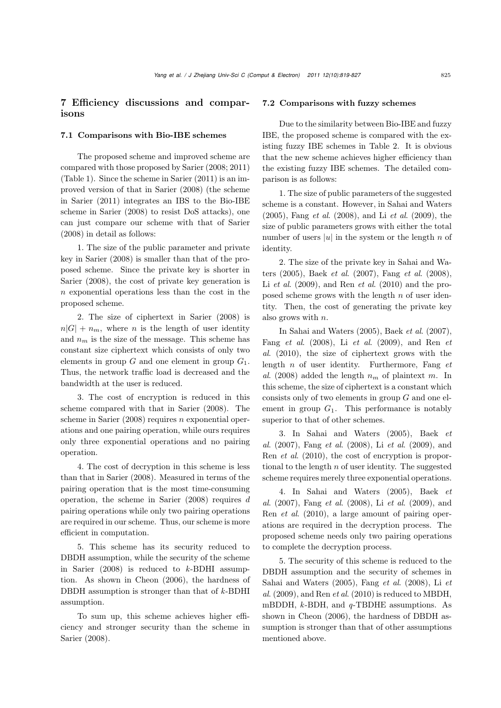# 7 Efficiency discussions and comparisons

## 7.1 Comparisons with Bio-IBE schemes

The proposed scheme and improved scheme are compared with those proposed by Sarier (2008; 2011) (Table 1). Since the scheme in Sarier (2011) is an improved version of that in Sarier (2008) (the scheme in Sarier (2011) integrates an IBS to the Bio-IBE scheme in Sarier (2008) to resist DoS attacks), one can just compare our scheme with that of Sarier (2008) in detail as follows:

1. The size of the public parameter and private key in Sarier (2008) is smaller than that of the proposed scheme. Since the private key is shorter in Sarier (2008), the cost of private key generation is n exponential operations less than the cost in the proposed scheme.

2. The size of ciphertext in Sarier (2008) is  $n|G| + n_m$ , where n is the length of user identity and  $n_m$  is the size of the message. This scheme has constant size ciphertext which consists of only two elements in group  $G$  and one element in group  $G_1$ . Thus, the network traffic load is decreased and the bandwidth at the user is reduced.

3. The cost of encryption is reduced in this scheme compared with that in Sarier (2008). The scheme in Sarier  $(2008)$  requires n exponential operations and one pairing operation, while ours requires only three exponential operations and no pairing operation.

4. The cost of decryption in this scheme is less than that in Sarier (2008). Measured in terms of the pairing operation that is the most time-consuming operation, the scheme in Sarier  $(2008)$  requires d pairing operations while only two pairing operations are required in our scheme. Thus, our scheme is more efficient in computation.

5. This scheme has its security reduced to DBDH assumption, while the security of the scheme in Sarier (2008) is reduced to *k*-BDHI assumption. As shown in Cheon (2006), the hardness of DBDH assumption is stronger than that of *k*-BDHI assumption.

To sum up, this scheme achieves higher efficiency and stronger security than the scheme in Sarier (2008).

#### 7.2 Comparisons with fuzzy schemes

Due to the similarity between Bio-IBE and fuzzy IBE, the proposed scheme is compared with the existing fuzzy IBE schemes in Table 2. It is obvious that the new scheme achieves higher efficiency than the existing fuzzy IBE schemes. The detailed comparison is as follows:

1. The size of public parameters of the suggested scheme is a constant. However, in Sahai and Waters (2005), Fang *et al*. (2008), and Li *et al*. (2009), the size of public parameters grows with either the total number of users |u| in the system or the length  $n$  of identity.

2. The size of the private key in Sahai and Waters (2005), Baek *et al*. (2007), Fang *et al*. (2008), Li *et al*. (2009), and Ren *et al*. (2010) and the proposed scheme grows with the length  $n$  of user identity. Then, the cost of generating the private key also grows with n.

In Sahai and Waters (2005), Baek *et al*. (2007), Fang *et al*. (2008), Li *et al*. (2009), and Ren *et al*. (2010), the size of ciphertext grows with the length n of user identity. Furthermore, Fang *et al.* (2008) added the length  $n_m$  of plaintext m. In this scheme, the size of ciphertext is a constant which consists only of two elements in group G and one element in group  $G_1$ . This performance is notably superior to that of other schemes.

3. In Sahai and Waters (2005), Baek *et al*. (2007), Fang *et al*. (2008), Li *et al*. (2009), and Ren *et al*. (2010), the cost of encryption is proportional to the length  $n$  of user identity. The suggested scheme requires merely three exponential operations.

4. In Sahai and Waters (2005), Baek *et al*. (2007), Fang *et al*. (2008), Li *et al*. (2009), and Ren *et al*. (2010), a large amount of pairing operations are required in the decryption process. The proposed scheme needs only two pairing operations to complete the decryption process.

5. The security of this scheme is reduced to the DBDH assumption and the security of schemes in Sahai and Waters (2005), Fang *et al*. (2008), Li *et al*. (2009), and Ren *et al*. (2010) is reduced to MBDH, mBDDH, *k*-BDH, and *q*-TBDHE assumptions. As shown in Cheon (2006), the hardness of DBDH assumption is stronger than that of other assumptions mentioned above.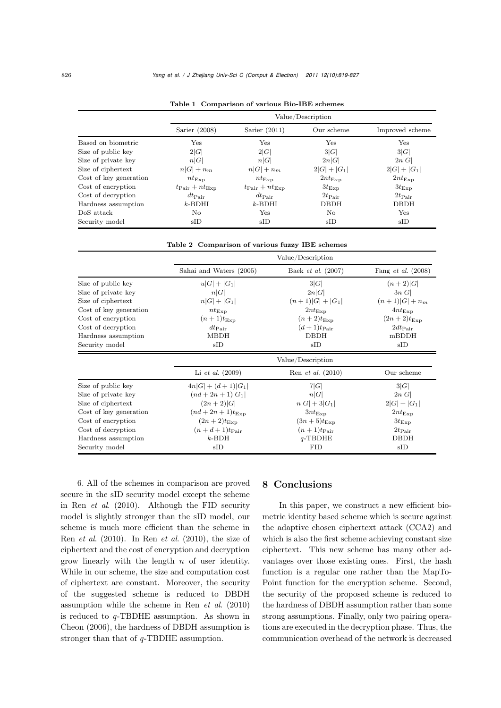|                        |                                     |                                     | Value/Description  |                    |
|------------------------|-------------------------------------|-------------------------------------|--------------------|--------------------|
|                        | Sarier $(2008)$                     | Sarier $(2011)$                     | Our scheme         | Improved scheme    |
| Based on biometric     | Yes                                 | Yes                                 | Yes                | <b>Yes</b>         |
| Size of public key     | 2 G                                 | 2 G                                 | 3 G                | 3 G                |
| Size of private key    | n G                                 | n G                                 | 2n G               | 2n G               |
| Size of ciphertext     | $n G +n_m$                          | $n G +n_m$                          | $2 G  +  G_1 $     | $2 G  +  G_1 $     |
| Cost of key generation | $nt_{\text{Exp}}$                   | $nt_{\text{Exp}}$                   | $2nt_{\text{Exp}}$ | $2nt_{\text{Exp}}$ |
| Cost of encryption     | $t_{\text{Pair}} + nt_{\text{Exp}}$ | $t_{\text{Pair}} + nt_{\text{Exp}}$ | $3t_{\rm Exp}$     | $3t_{\rm Exp}$     |
| Cost of decryption     | $dt_{\rm Pair}$                     | $dt_{\rm Pair}$                     | $2t_{\rm Pair}$    | $2t_{\rm Pair}$    |
| Hardness assumption    | $k$ -BDHI                           | $k$ -BDHI                           | <b>DBDH</b>        | <b>DBDH</b>        |
| DoS attack             | No.                                 | Yes                                 | No                 | <b>Yes</b>         |
| Security model         | $\rm{sID}$                          | $\rm{sID}$                          | $\rm{sID}$         | $\rm{sID}$         |

Table 1 Comparison of various Bio-IBE schemes

Table 2 Comparison of various fuzzy IBE schemes

|                        | Value/Description         |                             |                             |  |  |  |  |
|------------------------|---------------------------|-----------------------------|-----------------------------|--|--|--|--|
|                        | Sahai and Waters (2005)   | Baek <i>et al.</i> $(2007)$ | Fang <i>et al.</i> $(2008)$ |  |  |  |  |
| Size of public key     | $u G  +  G_1 $            | 3 G                         | $(n+2) G $                  |  |  |  |  |
| Size of private key    | n G                       | 2n G                        | 3n G                        |  |  |  |  |
| Size of ciphertext     | $n G  +  G_1 $            | $(n+1) G + G_1 $            | $(n+1) G  + n_m$            |  |  |  |  |
| Cost of key generation | $nt_{\text{Exp}}$         | $2nt_{\text{Exp}}$          | $4nt_{\text{Exp}}$          |  |  |  |  |
| Cost of encryption     | $(n+1)t_{\text{Exp}}$     | $(n+2)t_{\text{Exp}}$       | $(2n+2)t_{\text{Exp}}$      |  |  |  |  |
| Cost of decryption     | $dt_{\rm Pair}$           | $(d+1)t_{\text{Pair}}$      | $2dt$ Pair                  |  |  |  |  |
| Hardness assumption    | <b>MBDH</b>               | <b>DBDH</b>                 | mBDDH                       |  |  |  |  |
| Security model         | $\rm{sID}$<br>$\rm{sID}$  |                             | $\rm{sID}$                  |  |  |  |  |
|                        | Value/Description         |                             |                             |  |  |  |  |
|                        | Li <i>et al.</i> $(2009)$ | Ren <i>et al.</i> $(2010)$  | Our scheme                  |  |  |  |  |
| Size of public key     | $4n G  + (d+1) G_1 $      | 7 G                         | 3 G                         |  |  |  |  |
| Size of private key    | $(nd + 2n + 1) G_1 $      | n G                         | 2n G                        |  |  |  |  |
| Size of ciphertext     | $(2n+2) G $               |                             | $2 G + G_1 $                |  |  |  |  |
| Cost of key generation | $(nd+2n+1)t_{\text{Exp}}$ |                             | $2nt_{\text{Exp}}$          |  |  |  |  |
| Cost of encryption     | $(2n+2)t_{\text{Exp}}$    |                             | $3t_{\rm Exp}$              |  |  |  |  |
| Cost of decryption     | $(n+d+1)t_{\text{Pair}}$  |                             | $2t_{\rm Pair}$             |  |  |  |  |
| Hardness assumption    | $k$ -BDH                  |                             | <b>DBDH</b>                 |  |  |  |  |
| Security model         | $\rm{sID}$                | <b>FID</b>                  | $\rm{sID}$                  |  |  |  |  |

6. All of the schemes in comparison are proved secure in the sID security model except the scheme in Ren *et al*. (2010). Although the FID security model is slightly stronger than the sID model, our scheme is much more efficient than the scheme in Ren *et al*. (2010). In Ren *et al*. (2010), the size of ciphertext and the cost of encryption and decryption grow linearly with the length  $n$  of user identity. While in our scheme, the size and computation cost of ciphertext are constant. Moreover, the security of the suggested scheme is reduced to DBDH assumption while the scheme in Ren *et al*. (2010) is reduced to *q*-TBDHE assumption. As shown in Cheon (2006), the hardness of DBDH assumption is stronger than that of *q*-TBDHE assumption.

# 8 Conclusions

In this paper, we construct a new efficient biometric identity based scheme which is secure against the adaptive chosen ciphertext attack (CCA2) and which is also the first scheme achieving constant size ciphertext. This new scheme has many other advantages over those existing ones. First, the hash function is a regular one rather than the MapTo-Point function for the encryption scheme. Second, the security of the proposed scheme is reduced to the hardness of DBDH assumption rather than some strong assumptions. Finally, only two pairing operations are executed in the decryption phase. Thus, the communication overhead of the network is decreased